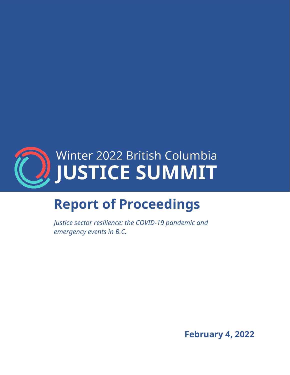

# **Report of Proceedings**

*Justice sector resilience: the COVID-19 pandemic and emergency events in B.C.*

**February 4, 2022**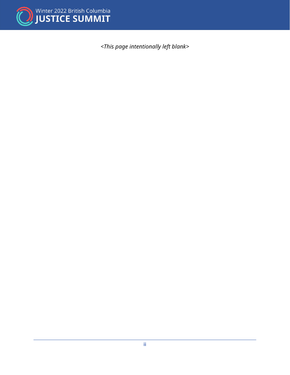

*<This page intentionally left blank>*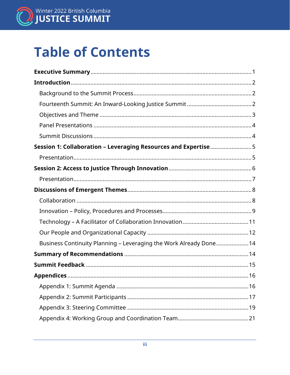

# **Table of Contents**

<span id="page-2-0"></span>

| Session 1: Collaboration - Leveraging Resources and Expertise5    |
|-------------------------------------------------------------------|
|                                                                   |
|                                                                   |
|                                                                   |
|                                                                   |
|                                                                   |
|                                                                   |
|                                                                   |
|                                                                   |
| Business Continuity Planning - Leveraging the Work Already Done14 |
|                                                                   |
|                                                                   |
|                                                                   |
|                                                                   |
|                                                                   |
|                                                                   |
|                                                                   |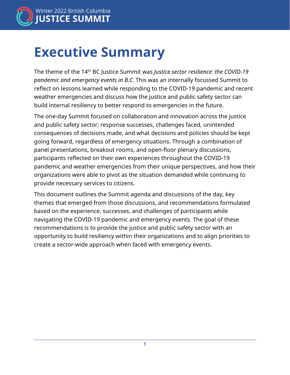

## **Executive Summary**

The theme of the 14th BC Justice Summit was *Justice sector resilience: the COVID-19 pandemic and emergency events in B.C.* This was an internally focussed Summit to reflect on lessons learned while responding to the COVID-19 pandemic and recent weather emergencies and discuss how the justice and public safety sector can build internal resiliency to better respond to emergencies in the future.

The one-day Summit focused on collaboration and innovation across the justice and public safety sector; response successes, challenges faced, unintended consequences of decisions made, and what decisions and policies should be kept going forward, regardless of emergency situations. Through a combination of panel presentations, breakout rooms, and open-floor plenary discussions, participants reflected on their own experiences throughout the COVID-19 pandemic and weather emergencies from their unique perspectives, and how their organizations were able to pivot as the situation demanded while continuing to provide necessary services to citizens.

This document outlines the Summit agenda and discussions of the day, key themes that emerged from those discussions, and recommendations formulated based on the experience, successes, and challenges of participants while navigating the COVID-19 pandemic and emergency events. The goal of these recommendations is to provide the justice and public safety sector with an opportunity to build resiliency within their organizations and to align priorities to create a sector-wide approach when faced with emergency events.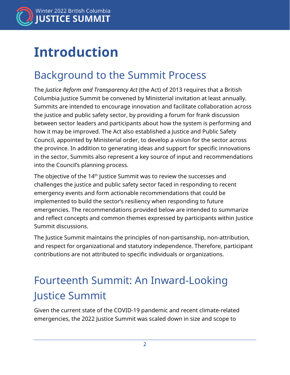

## <span id="page-4-0"></span>**Introduction**

### <span id="page-4-1"></span>Background to the Summit Process

The *Justice Reform and Transparency Act* (the Act) of 2013 requires that a British Columbia Justice Summit be convened by Ministerial invitation at least annually. Summits are intended to encourage innovation and facilitate collaboration across the justice and public safety sector, by providing a forum for frank discussion between sector leaders and participants about how the system is performing and how it may be improved. The Act also established a Justice and Public Safety Council, appointed by Ministerial order, to develop a vision for the sector across the province. In addition to generating ideas and support for specific innovations in the sector, Summits also represent a key source of input and recommendations into the Council's planning process.

The objective of the 14<sup>th</sup> Justice Summit was to review the successes and challenges the justice and public safety sector faced in responding to recent emergency events and form actionable recommendations that could be implemented to build the sector's resiliency when responding to future emergencies. The recommendations provided below are intended to summarize and reflect concepts and common themes expressed by participants within Justice Summit discussions.

The Justice Summit maintains the principles of non-partisanship, non-attribution, and respect for organizational and statutory independence. Therefore, participant contributions are not attributed to specific individuals or organizations.

### <span id="page-4-2"></span>Fourteenth Summit: An Inward-Looking Justice Summit

Given the current state of the COVID-19 pandemic and recent climate-related emergencies, the 2022 Justice Summit was scaled down in size and scope to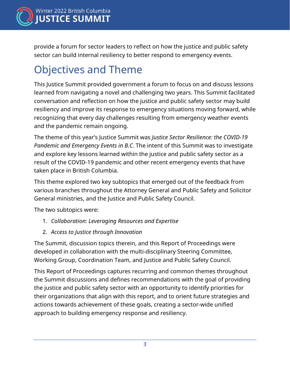

provide a forum for sector leaders to reflect on how the justice and public safety sector can build internal resiliency to better respond to emergency events.

### <span id="page-5-0"></span>Objectives and Theme

This Justice Summit provided government a forum to focus on and discuss lessons learned from navigating a novel and challenging two years. This Summit facilitated conversation and reflection on how the justice and public safety sector may build resiliency and improve its response to emergency situations moving forward, while recognizing that every day challenges resulting from emergency weather events and the pandemic remain ongoing.

The theme of this year's Justice Summit was *Justice Sector Resilience: the COVID-19 Pandemic and Emergency Events in B.C.* The intent of this Summit was to investigate and explore key lessons learned within the justice and public safety sector as a result of the COVID-19 pandemic and other recent emergency events that have taken place in British Columbia.

This theme explored two key subtopics that emerged out of the feedback from various branches throughout the Attorney General and Public Safety and Solicitor General ministries, and the Justice and Public Safety Council.

The two subtopics were:

- 1. *Collaboration: Leveraging Resources and Expertise*
- 2. *Access to Justice through Innovation*

The Summit, discussion topics therein, and this Report of Proceedings were developed in collaboration with the multi-disciplinary Steering Committee, Working Group, Coordination Team, and Justice and Public Safety Council.

This Report of Proceedings captures recurring and common themes throughout the Summit discussions and defines recommendations with the goal of providing the justice and public safety sector with an opportunity to identify priorities for their organizations that align with this report, and to orient future strategies and actions towards achievement of these goals, creating a sector-wide unified approach to building emergency response and resiliency.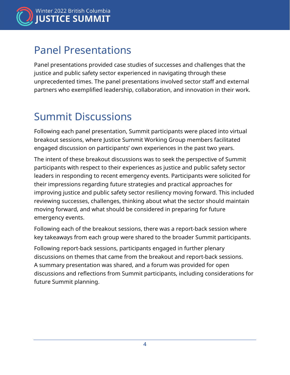

### <span id="page-6-0"></span>Panel Presentations

Panel presentations provided case studies of successes and challenges that the justice and public safety sector experienced in navigating through these unprecedented times. The panel presentations involved sector staff and external partners who exemplified leadership, collaboration, and innovation in their work.

### <span id="page-6-1"></span>Summit Discussions

Following each panel presentation, Summit participants were placed into virtual breakout sessions, where Justice Summit Working Group members facilitated engaged discussion on participants' own experiences in the past two years.

The intent of these breakout discussions was to seek the perspective of Summit participants with respect to their experiences as justice and public safety sector leaders in responding to recent emergency events. Participants were solicited for their impressions regarding future strategies and practical approaches for improving justice and public safety sector resiliency moving forward. This included reviewing successes, challenges, thinking about what the sector should maintain moving forward, and what should be considered in preparing for future emergency events.

Following each of the breakout sessions, there was a report-back session where key takeaways from each group were shared to the broader Summit participants.

Following report-back sessions, participants engaged in further plenary discussions on themes that came from the breakout and report-back sessions. A summary presentation was shared, and a forum was provided for open discussions and reflections from Summit participants, including considerations for future Summit planning.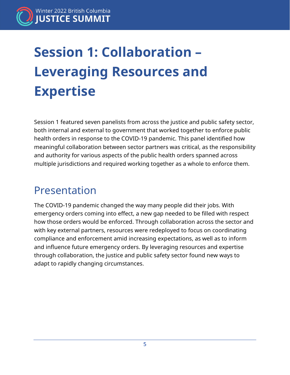# <span id="page-7-0"></span>**Session 1: Collaboration – Leveraging Resources and Expertise**

Session 1 featured seven panelists from across the justice and public safety sector, both internal and external to government that worked together to enforce public health orders in response to the COVID-19 pandemic. This panel identified how meaningful collaboration between sector partners was critical, as the responsibility and authority for various aspects of the public health orders spanned across multiple jurisdictions and required working together as a whole to enforce them.

### <span id="page-7-1"></span>Presentation

The COVID-19 pandemic changed the way many people did their jobs. With emergency orders coming into effect, a new gap needed to be filled with respect how those orders would be enforced. Through collaboration across the sector and with key external partners, resources were redeployed to focus on coordinating compliance and enforcement amid increasing expectations, as well as to inform and influence future emergency orders. By leveraging resources and expertise through collaboration, the justice and public safety sector found new ways to adapt to rapidly changing circumstances.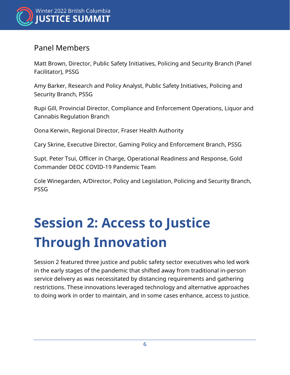

#### Panel Members

Matt Brown, Director, Public Safety Initiatives, Policing and Security Branch (Panel Facilitator), PSSG

Amy Barker, Research and Policy Analyst, Public Safety Initiatives, Policing and Security Branch, PSSG

Rupi Gill, Provincial Director, Compliance and Enforcement Operations, Liquor and Cannabis Regulation Branch

Oona Kerwin, Regional Director, Fraser Health Authority

Cary Skrine, Executive Director, Gaming Policy and Enforcement Branch, PSSG

Supt. Peter Tsui, Officer in Charge, Operational Readiness and Response, Gold Commander DEOC COVID-19 Pandemic Team

<span id="page-8-0"></span>Cole Winegarden, A/Director, Policy and Legislation, Policing and Security Branch, PSSG

# **Session 2: Access to Justice Through Innovation**

Session 2 featured three justice and public safety sector executives who led work in the early stages of the pandemic that shifted away from traditional in-person service delivery as was necessitated by distancing requirements and gathering restrictions. These innovations leveraged technology and alternative approaches to doing work in order to maintain, and in some cases enhance, access to justice.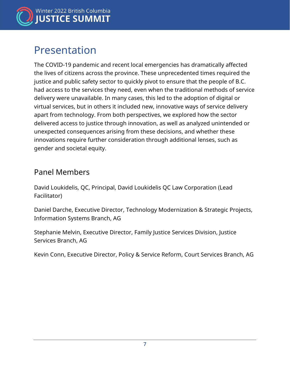

### <span id="page-9-0"></span>Presentation

The COVID-19 pandemic and recent local emergencies has dramatically affected the lives of citizens across the province. These unprecedented times required the justice and public safety sector to quickly pivot to ensure that the people of B.C. had access to the services they need, even when the traditional methods of service delivery were unavailable. In many cases, this led to the adoption of digital or virtual services, but in others it included new, innovative ways of service delivery apart from technology. From both perspectives, we explored how the sector delivered access to justice through innovation, as well as analyzed unintended or unexpected consequences arising from these decisions, and whether these innovations require further consideration through additional lenses, such as gender and societal equity.

#### Panel Members

David Loukidelis, QC, Principal, David Loukidelis QC Law Corporation (Lead Facilitator)

Daniel Darche, Executive Director, Technology Modernization & Strategic Projects, Information Systems Branch, AG

Stephanie Melvin, Executive Director, Family Justice Services Division, Justice Services Branch, AG

Kevin Conn, Executive Director, Policy & Service Reform, Court Services Branch, AG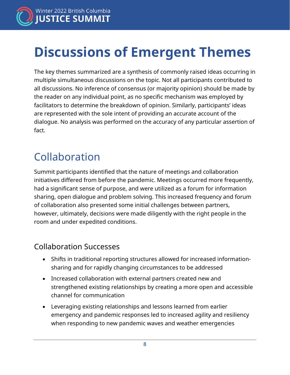

## <span id="page-10-0"></span>**Discussions of Emergent Themes**

The key themes summarized are a synthesis of commonly raised ideas occurring in multiple simultaneous discussions on the topic. Not all participants contributed to all discussions. No inference of consensus (or majority opinion) should be made by the reader on any individual point, as no specific mechanism was employed by facilitators to determine the breakdown of opinion. Similarly, participants' ideas are represented with the sole intent of providing an accurate account of the dialogue. No analysis was performed on the accuracy of any particular assertion of fact.

### <span id="page-10-1"></span>Collaboration

Summit participants identified that the nature of meetings and collaboration initiatives differed from before the pandemic. Meetings occurred more frequently, had a significant sense of purpose, and were utilized as a forum for information sharing, open dialogue and problem solving. This increased frequency and forum of collaboration also presented some initial challenges between partners, however, ultimately, decisions were made diligently with the right people in the room and under expedited conditions.

### Collaboration Successes

- Shifts in traditional reporting structures allowed for increased informationsharing and for rapidly changing circumstances to be addressed
- Increased collaboration with external partners created new and strengthened existing relationships by creating a more open and accessible channel for communication
- Leveraging existing relationships and lessons learned from earlier emergency and pandemic responses led to increased agility and resiliency when responding to new pandemic waves and weather emergencies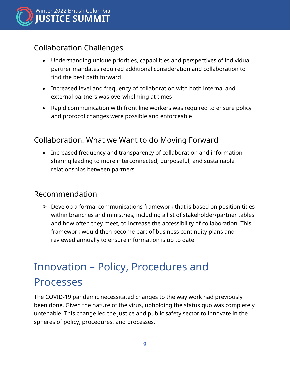

### Collaboration Challenges

- Understanding unique priorities, capabilities and perspectives of individual partner mandates required additional consideration and collaboration to find the best path forward
- Increased level and frequency of collaboration with both internal and external partners was overwhelming at times
- Rapid communication with front line workers was required to ensure policy and protocol changes were possible and enforceable

#### Collaboration: What we Want to do Moving Forward

• Increased frequency and transparency of collaboration and informationsharing leading to more interconnected, purposeful, and sustainable relationships between partners

#### Recommendation

 $\triangleright$  Develop a formal communications framework that is based on position titles within branches and ministries, including a list of stakeholder/partner tables and how often they meet, to increase the accessibility of collaboration. This framework would then become part of business continuity plans and reviewed annually to ensure information is up to date

### <span id="page-11-0"></span>Innovation – Policy, Procedures and Processes

The COVID-19 pandemic necessitated changes to the way work had previously been done. Given the nature of the virus, upholding the status quo was completely untenable. This change led the justice and public safety sector to innovate in the spheres of policy, procedures, and processes.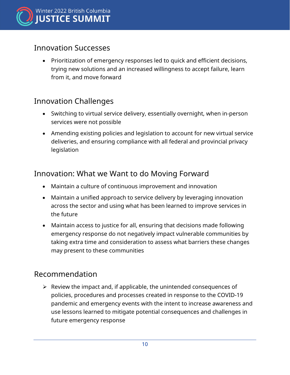

#### Innovation Successes

• Prioritization of emergency responses led to quick and efficient decisions, trying new solutions and an increased willingness to accept failure, learn from it, and move forward

### Innovation Challenges

- Switching to virtual service delivery, essentially overnight, when in-person services were not possible
- Amending existing policies and legislation to account for new virtual service deliveries, and ensuring compliance with all federal and provincial privacy legislation

### Innovation: What we Want to do Moving Forward

- Maintain a culture of continuous improvement and innovation
- Maintain a unified approach to service delivery by leveraging innovation across the sector and using what has been learned to improve services in the future
- Maintain access to justice for all, ensuring that decisions made following emergency response do not negatively impact vulnerable communities by taking extra time and consideration to assess what barriers these changes may present to these communities

#### Recommendation

 $\triangleright$  Review the impact and, if applicable, the unintended consequences of policies, procedures and processes created in response to the COVID-19 pandemic and emergency events with the intent to increase awareness and use lessons learned to mitigate potential consequences and challenges in future emergency response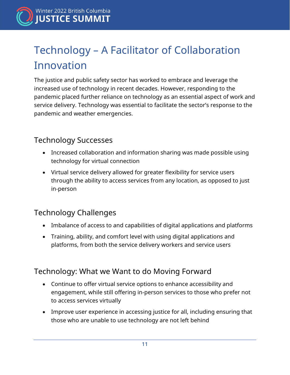### <span id="page-13-0"></span>Technology – A Facilitator of Collaboration Innovation

The justice and public safety sector has worked to embrace and leverage the increased use of technology in recent decades. However, responding to the pandemic placed further reliance on technology as an essential aspect of work and service delivery. Technology was essential to facilitate the sector's response to the pandemic and weather emergencies.

### Technology Successes

- Increased collaboration and information sharing was made possible using technology for virtual connection
- Virtual service delivery allowed for greater flexibility for service users through the ability to access services from any location, as opposed to just in-person

### Technology Challenges

- Imbalance of access to and capabilities of digital applications and platforms
- Training, ability, and comfort level with using digital applications and platforms, from both the service delivery workers and service users

### Technology: What we Want to do Moving Forward

- Continue to offer virtual service options to enhance accessibility and engagement, while still offering in-person services to those who prefer not to access services virtually
- Improve user experience in accessing justice for all, including ensuring that those who are unable to use technology are not left behind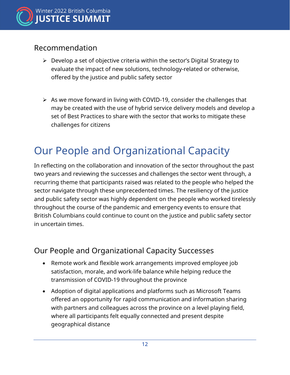

#### Recommendation

- $\triangleright$  Develop a set of objective criteria within the sector's Digital Strategy to evaluate the impact of new solutions, technology-related or otherwise, offered by the justice and public safety sector
- $\triangleright$  As we move forward in living with COVID-19, consider the challenges that may be created with the use of hybrid service delivery models and develop a set of Best Practices to share with the sector that works to mitigate these challenges for citizens

### <span id="page-14-0"></span>Our People and Organizational Capacity

In reflecting on the collaboration and innovation of the sector throughout the past two years and reviewing the successes and challenges the sector went through, a recurring theme that participants raised was related to the people who helped the sector navigate through these unprecedented times. The resiliency of the justice and public safety sector was highly dependent on the people who worked tirelessly throughout the course of the pandemic and emergency events to ensure that British Columbians could continue to count on the justice and public safety sector in uncertain times.

### Our People and Organizational Capacity Successes

- Remote work and flexible work arrangements improved employee job satisfaction, morale, and work-life balance while helping reduce the transmission of COVID-19 throughout the province
- Adoption of digital applications and platforms such as Microsoft Teams offered an opportunity for rapid communication and information sharing with partners and colleagues across the province on a level playing field, where all participants felt equally connected and present despite geographical distance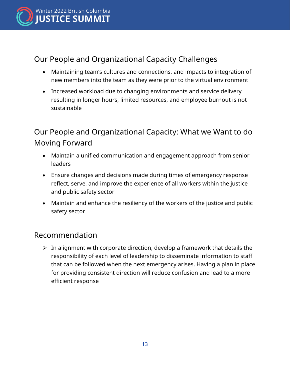

### Our People and Organizational Capacity Challenges

- Maintaining team's cultures and connections, and impacts to integration of new members into the team as they were prior to the virtual environment
- Increased workload due to changing environments and service delivery resulting in longer hours, limited resources, and employee burnout is not sustainable

### Our People and Organizational Capacity: What we Want to do Moving Forward

- Maintain a unified communication and engagement approach from senior leaders
- Ensure changes and decisions made during times of emergency response reflect, serve, and improve the experience of all workers within the justice and public safety sector
- Maintain and enhance the resiliency of the workers of the justice and public safety sector

#### Recommendation

 $\triangleright$  In alignment with corporate direction, develop a framework that details the responsibility of each level of leadership to disseminate information to staff that can be followed when the next emergency arises. Having a plan in place for providing consistent direction will reduce confusion and lead to a more efficient response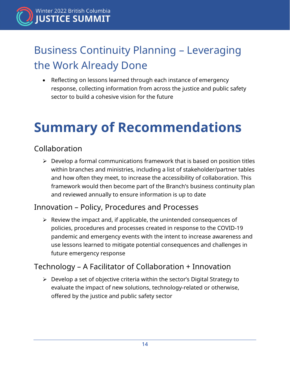

### <span id="page-16-0"></span>Business Continuity Planning – Leveraging the Work Already Done

• Reflecting on lessons learned through each instance of emergency response, collecting information from across the justice and public safety sector to build a cohesive vision for the future

# <span id="page-16-1"></span>**Summary of Recommendations**

### Collaboration

 $\triangleright$  Develop a formal communications framework that is based on position titles within branches and ministries, including a list of stakeholder/partner tables and how often they meet, to increase the accessibility of collaboration. This framework would then become part of the Branch's business continuity plan and reviewed annually to ensure information is up to date

#### Innovation – Policy, Procedures and Processes

 $\triangleright$  Review the impact and, if applicable, the unintended consequences of policies, procedures and processes created in response to the COVID-19 pandemic and emergency events with the intent to increase awareness and use lessons learned to mitigate potential consequences and challenges in future emergency response

#### Technology – A Facilitator of Collaboration + Innovation

 $\triangleright$  Develop a set of objective criteria within the sector's Digital Strategy to evaluate the impact of new solutions, technology-related or otherwise, offered by the justice and public safety sector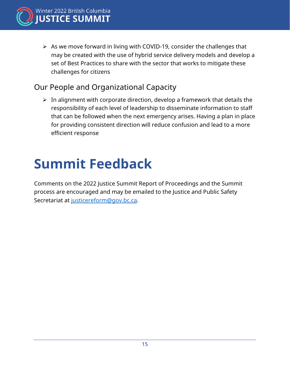

 $\triangleright$  As we move forward in living with COVID-19, consider the challenges that may be created with the use of hybrid service delivery models and develop a set of Best Practices to share with the sector that works to mitigate these challenges for citizens

### Our People and Organizational Capacity

 $\triangleright$  In alignment with corporate direction, develop a framework that details the responsibility of each level of leadership to disseminate information to staff that can be followed when the next emergency arises. Having a plan in place for providing consistent direction will reduce confusion and lead to a more efficient response

# <span id="page-17-0"></span>**Summit Feedback**

<span id="page-17-1"></span>Comments on the 2022 Justice Summit Report of Proceedings and the Summit process are encouraged and may be emailed to the Justice and Public Safety Secretariat at [justicereform@gov.bc.ca.](mailto:justicereform@gov.bc.ca)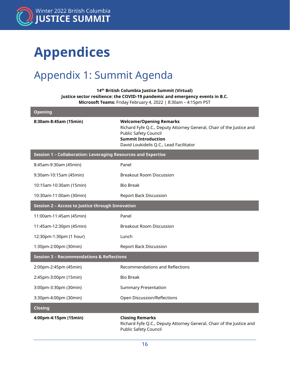

# **Appendices**

### <span id="page-18-0"></span>Appendix 1: Summit Agenda

**14th British Columbia Justice Summit (Virtual) Justice sector resilience: the COVID-19 pandemic and emergency events in B.C. Microsoft Teams:** Friday February 4, 2022 | 8:30am – 4:15pm PST

| <b>Opening</b>                                                |                                                                                                                                                                                                          |  |
|---------------------------------------------------------------|----------------------------------------------------------------------------------------------------------------------------------------------------------------------------------------------------------|--|
| 8:30am-8:45am (15min)                                         | <b>Welcome/Opening Remarks</b><br>Richard Fyfe Q.C., Deputy Attorney General, Chair of the Justice and<br>Public Safety Council<br><b>Summit Introduction</b><br>David Loukidelis Q.C., Lead Facilitator |  |
| Session 1 - Collaboration: Leveraging Resources and Expertise |                                                                                                                                                                                                          |  |
| 8:45am-9:30am (45min)                                         | Panel                                                                                                                                                                                                    |  |
| 9:30am-10:15am (45min)                                        | <b>Breakout Room Discussion</b>                                                                                                                                                                          |  |
| 10:15am-10:30am (15min)                                       | <b>Bio Break</b>                                                                                                                                                                                         |  |
| 10:30am-11:00am (30min)                                       | <b>Report Back Discussion</b>                                                                                                                                                                            |  |
| Session 2 - Access to Justice through Innovation              |                                                                                                                                                                                                          |  |
| 11:00am-11:45am (45min)                                       | Panel                                                                                                                                                                                                    |  |
| 11:45am-12:30pm (45min)                                       | <b>Breakout Room Discussion</b>                                                                                                                                                                          |  |
| 12:30pm-1:30pm (1 hour)                                       | Lunch                                                                                                                                                                                                    |  |
| 1:30pm-2:00pm (30min)                                         | <b>Report Back Discussion</b>                                                                                                                                                                            |  |
| <b>Session 3 - Recommendations &amp; Reflections</b>          |                                                                                                                                                                                                          |  |
| 2:00pm-2:45pm (45min)                                         | <b>Recommendations and Reflections</b>                                                                                                                                                                   |  |
| 2:45pm-3:00pm (15min)                                         | <b>Bio Break</b>                                                                                                                                                                                         |  |
| 3:00pm-3:30pm (30min)                                         | <b>Summary Presentation</b>                                                                                                                                                                              |  |
| 3:30pm-4:00pm (30min)                                         | Open Discussion/Reflections                                                                                                                                                                              |  |
| <b>Closing</b>                                                |                                                                                                                                                                                                          |  |
| 4:00pm-4:15pm (15min)                                         | <b>Closing Remarks</b><br>Richard Fyfe Q.C., Deputy Attorney General, Chair of the Justice and<br><b>Public Safety Council</b>                                                                           |  |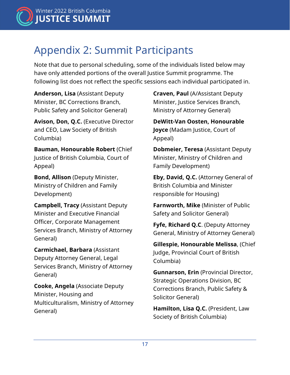

### <span id="page-19-0"></span>Appendix 2: Summit Participants

Note that due to personal scheduling, some of the individuals listed below may have only attended portions of the overall Justice Summit programme. The following list does not reflect the specific sessions each individual participated in.

**Anderson, Lisa** (Assistant Deputy Minister, BC Corrections Branch, Public Safety and Solicitor General)

**Avison, Don, Q.C.** (Executive Director and CEO, Law Society of British Columbia)

**Bauman, Honourable Robert** (Chief Justice of British Columbia, Court of Appeal)

**Bond, Allison** (Deputy Minister, Ministry of Children and Family Development)

**Campbell, Tracy** (Assistant Deputy Minister and Executive Financial Officer, Corporate Management Services Branch, Ministry of Attorney General)

**Carmichael, Barbara** (Assistant Deputy Attorney General, Legal Services Branch, Ministry of Attorney General)

**Cooke, Angela** (Associate Deputy Minister, Housing and Multiculturalism, Ministry of Attorney General)

**Craven, Paul** (A/Assistant Deputy Minister, Justice Services Branch, Ministry of Attorney General)

**DeWitt-Van Oosten, Honourable Joyce** (Madam Justice, Court of Appeal)

**Dobmeier, Teresa** (Assistant Deputy Minister, Ministry of Children and Family Development)

**Eby, David, Q.C.** (Attorney General of British Columbia and Minister responsible for Housing)

**Farnworth, Mike** (Minister of Public Safety and Solicitor General)

**Fyfe, Richard Q.C**. (Deputy Attorney General, Ministry of Attorney General)

**Gillespie, Honourable Melissa**, (Chief Judge, Provincial Court of British Columbia)

**Gunnarson, Erin** (Provincial Director, Strategic Operations Division, BC Corrections Branch, Public Safety & Solicitor General)

**Hamilton, Lisa Q.C.** (President, Law Society of British Columbia)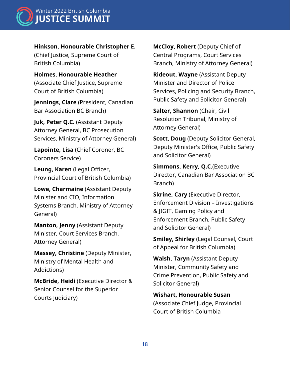

Winter 2022 British Columbia **JUSTICE SUMMIT** 

**Hinkson, Honourable Christopher E.** (Chief Justice, Supreme Court of

British Columbia)

**Holmes, Honourable Heather**  (Associate Chief Justice, Supreme Court of British Columbia)

**Jennings, Clare** (President, Canadian Bar Association BC Branch)

**Juk, Peter Q.C.** (Assistant Deputy Attorney General, BC Prosecution Services, Ministry of Attorney General)

**Lapointe, Lisa** (Chief Coroner, BC Coroners Service)

**Leung, Karen** (Legal Officer, Provincial Court of British Columbia)

**Lowe, Charmaine** (Assistant Deputy Minister and CIO, Information Systems Branch, Ministry of Attorney General)

**Manton, Jenny** (Assistant Deputy Minister, Court Services Branch, Attorney General)

**Massey, Christine** (Deputy Minister, Ministry of Mental Health and Addictions)

**McBride, Heidi** (Executive Director & Senior Counsel for the Superior Courts Judiciary)

**McCloy, Robert** (Deputy Chief of Central Programs, Court Services Branch, Ministry of Attorney General)

**Rideout, Wayne** (Assistant Deputy Minister and Director of Police Services, Policing and Security Branch, Public Safety and Solicitor General)

**Salter, Shannon** (Chair, Civil Resolution Tribunal, Ministry of Attorney General)

**Scott, Doug** (Deputy Solicitor General, Deputy Minister's Office, Public Safety and Solicitor General)

**Simmons, Kerry, Q.C**.(Executive Director, Canadian Bar Association BC Branch)

**Skrine, Cary** (Executive Director, Enforcement Division – Investigations & JIGIT, Gaming Policy and Enforcement Branch, Public Safety and Solicitor General)

**Smiley, Shirley** (Legal Counsel, Court of Appeal for British Columbia)

**Walsh, Taryn** (Assistant Deputy Minister, Community Safety and Crime Prevention, Public Safety and Solicitor General)

<span id="page-20-0"></span>**Wishart, Honourable Susan** (Associate Chief Judge, Provincial Court of British Columbia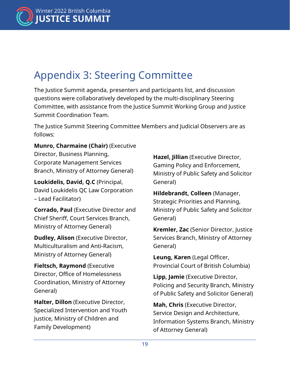

### Appendix 3: Steering Committee

The Justice Summit agenda, presenters and participants list, and discussion questions were collaboratively developed by the multi-disciplinary Steering Committee, with assistance from the Justice Summit Working Group and Justice Summit Coordination Team.

The Justice Summit Steering Committee Members and Judicial Observers are as follows:

**Munro, Charmaine (Chair)** (Executive

Director, Business Planning, Corporate Management Services Branch, Ministry of Attorney General)

**Loukidelis, David, Q.C** (Principal, David Loukidelis QC Law Corporation – Lead Facilitator)

**Corrado, Paul** (Executive Director and Chief Sheriff, Court Services Branch, Ministry of Attorney General)

**Dudley, Alison** (Executive Director, Multiculturalism and Anti-Racism, Ministry of Attorney General)

**Fieltsch, Raymond** (Executive Director, Office of Homelessness Coordination, Ministry of Attorney General)

**Halter, Dillon** (Executive Director, Specialized Intervention and Youth Justice, Ministry of Children and Family Development)

**Hazel, Jillian** (Executive Director, Gaming Policy and Enforcement, Ministry of Public Safety and Solicitor General)

**Hildebrandt, Colleen** (Manager, Strategic Priorities and Planning, Ministry of Public Safety and Solicitor General)

**Kremler, Zac** (Senior Director, Justice Services Branch, Ministry of Attorney General)

**Leung, Karen** (Legal Officer, Provincial Court of British Columbia)

**Lipp, Jamie** (Executive Director, Policing and Security Branch, Ministry of Public Safety and Solicitor General)

**Mah, Chris** (Executive Director, Service Design and Architecture, Information Systems Branch, Ministry of Attorney General)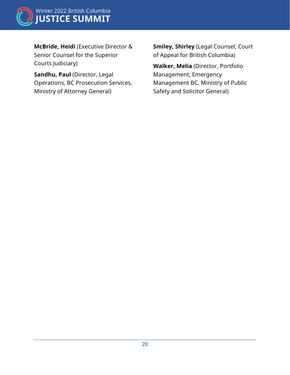

**McBride, Heidi** (Executive Director & Senior Counsel for the Superior Courts Judiciary)

<span id="page-22-0"></span>**Sandhu, Paul** (Director, Legal Operations, BC Prosecution Services, Ministry of Attorney General)

**Smiley, Shirley** (Legal Counsel, Court of Appeal for British Columbia)

**Walker, Melia** (Director, Portfolio Management, Emergency Management BC, Ministry of Public Safety and Solicitor General)